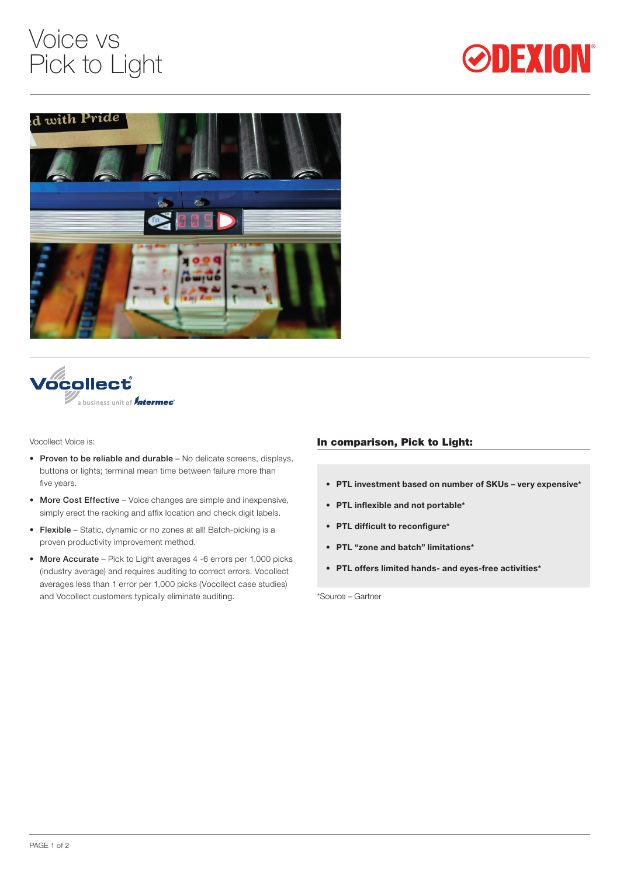# Voice vs Pick to Light







Vocollect Voice is:

- Proven to be reliable and durable No delicate screens, displays, buttons or lights; terminal mean time between failure more than five years.
- More Cost Effective Voice changes are simple and inexpensive, simply erect the racking and affix location and check digit labels.
- Flexible Static, dynamic or no zones at all! Batch-picking is a proven productivity improvement method.
- More Accurate Pick to Light averages 4 -6 errors per 1,000 picks (industry average) and requires auditing to correct errors. Vocollect averages less than 1 error per 1,000 picks (Vocollect case studies) and Vocollect customers typically eliminate auditing.

### In comparison, Pick to Light:

- **• PTL investment based on number of SKUs – very expensive\***
- **• PTL inflexible and not portable\***
- **• PTL difficult to reconfigure\***
- **• PTL "zone and batch" limitations\***
- **• PTL offers limited hands- and eyes-free activities\***

\*Source – Gartner